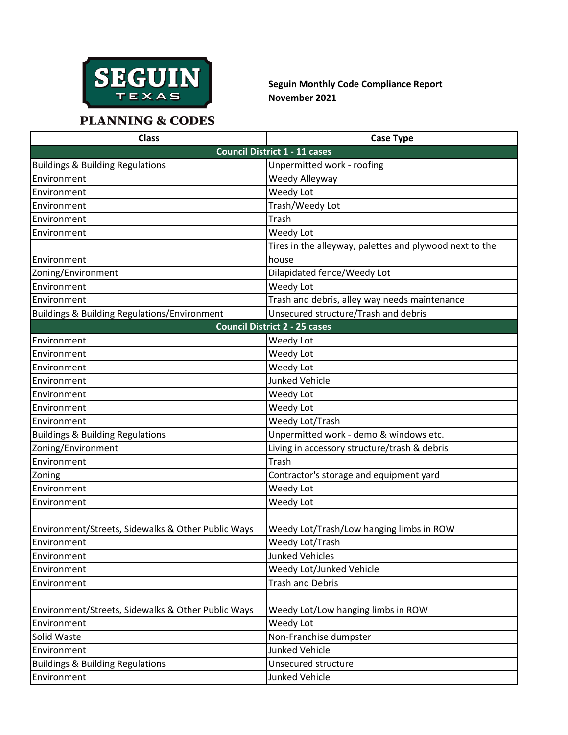

**Seguin Monthly Code Compliance Report November 2021**

## **PLANNING & CODES**

| <b>Class</b>                                            | <b>Case Type</b>                                        |  |
|---------------------------------------------------------|---------------------------------------------------------|--|
| <b>Council District 1 - 11 cases</b>                    |                                                         |  |
| <b>Buildings &amp; Building Regulations</b>             | Unpermitted work - roofing                              |  |
| Environment                                             | Weedy Alleyway                                          |  |
| Environment                                             | Weedy Lot                                               |  |
| Environment                                             | Trash/Weedy Lot                                         |  |
| Environment                                             | Trash                                                   |  |
| Environment                                             | Weedy Lot                                               |  |
|                                                         | Tires in the alleyway, palettes and plywood next to the |  |
| Environment                                             | house                                                   |  |
| Zoning/Environment                                      | Dilapidated fence/Weedy Lot                             |  |
| Environment                                             | Weedy Lot                                               |  |
| Environment                                             | Trash and debris, alley way needs maintenance           |  |
| <b>Buildings &amp; Building Regulations/Environment</b> | Unsecured structure/Trash and debris                    |  |
| <b>Council District 2 - 25 cases</b>                    |                                                         |  |
| Environment                                             | Weedy Lot                                               |  |
| Environment                                             | Weedy Lot                                               |  |
| Environment                                             | Weedy Lot                                               |  |
| Environment                                             | <b>Junked Vehicle</b>                                   |  |
| Environment                                             | Weedy Lot                                               |  |
| Environment                                             | Weedy Lot                                               |  |
| Environment                                             | Weedy Lot/Trash                                         |  |
| <b>Buildings &amp; Building Regulations</b>             | Unpermitted work - demo & windows etc.                  |  |
| Zoning/Environment                                      | Living in accessory structure/trash & debris            |  |
| Environment                                             | Trash                                                   |  |
| Zoning                                                  | Contractor's storage and equipment yard                 |  |
| Environment                                             | Weedy Lot                                               |  |
| Environment                                             | Weedy Lot                                               |  |
|                                                         |                                                         |  |
| Environment/Streets, Sidewalks & Other Public Ways      | Weedy Lot/Trash/Low hanging limbs in ROW                |  |
| Environment                                             | Weedy Lot/Trash                                         |  |
| Environment                                             | <b>Junked Vehicles</b>                                  |  |
| Environment                                             | Weedy Lot/Junked Vehicle                                |  |
| Environment                                             | <b>Trash and Debris</b>                                 |  |
|                                                         |                                                         |  |
| Environment/Streets, Sidewalks & Other Public Ways      | Weedy Lot/Low hanging limbs in ROW                      |  |
| Environment                                             | Weedy Lot                                               |  |
| Solid Waste                                             | Non-Franchise dumpster                                  |  |
| Environment                                             | <b>Junked Vehicle</b>                                   |  |
| <b>Buildings &amp; Building Regulations</b>             | Unsecured structure                                     |  |
| Environment                                             | Junked Vehicle                                          |  |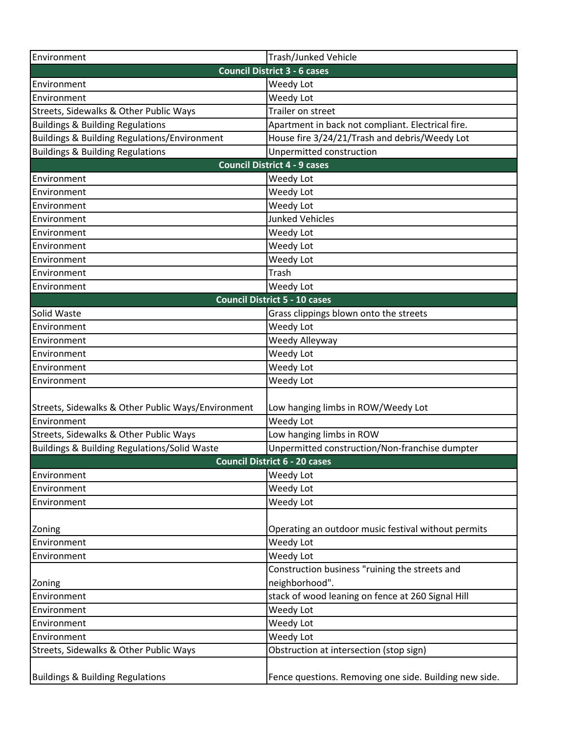| Environment                                             | Trash/Junked Vehicle                                   |
|---------------------------------------------------------|--------------------------------------------------------|
|                                                         | <b>Council District 3 - 6 cases</b>                    |
| Environment                                             | <b>Weedy Lot</b>                                       |
| Environment                                             | Weedy Lot                                              |
| Streets, Sidewalks & Other Public Ways                  | Trailer on street                                      |
| <b>Buildings &amp; Building Regulations</b>             | Apartment in back not compliant. Electrical fire.      |
| <b>Buildings &amp; Building Regulations/Environment</b> | House fire 3/24/21/Trash and debris/Weedy Lot          |
| <b>Buildings &amp; Building Regulations</b>             | Unpermitted construction                               |
| <b>Council District 4 - 9 cases</b>                     |                                                        |
| Environment                                             | Weedy Lot                                              |
| Environment                                             | Weedy Lot                                              |
| Environment                                             | Weedy Lot                                              |
| Environment                                             | <b>Junked Vehicles</b>                                 |
| Environment                                             | Weedy Lot                                              |
| Environment                                             | Weedy Lot                                              |
| Environment                                             | Weedy Lot                                              |
| Environment                                             | Trash                                                  |
| Environment                                             | <b>Weedy Lot</b>                                       |
| <b>Council District 5 - 10 cases</b>                    |                                                        |
| Solid Waste                                             | Grass clippings blown onto the streets                 |
| Environment                                             | Weedy Lot                                              |
| Environment                                             | Weedy Alleyway                                         |
| Environment                                             | Weedy Lot                                              |
| Environment                                             | Weedy Lot                                              |
| Environment                                             | Weedy Lot                                              |
|                                                         |                                                        |
| Streets, Sidewalks & Other Public Ways/Environment      | Low hanging limbs in ROW/Weedy Lot                     |
| Environment                                             | Weedy Lot                                              |
| Streets, Sidewalks & Other Public Ways                  | Low hanging limbs in ROW                               |
| <b>Buildings &amp; Building Regulations/Solid Waste</b> | Unpermitted construction/Non-franchise dumpter         |
| <b>Council District 6 - 20 cases</b>                    |                                                        |
| Environment                                             | Weedy Lot                                              |
| Environment                                             | Weedy Lot                                              |
| Environment                                             | Weedy Lot                                              |
|                                                         |                                                        |
| Zoning                                                  | Operating an outdoor music festival without permits    |
| Environment                                             | Weedy Lot                                              |
| Environment                                             | Weedy Lot                                              |
|                                                         | Construction business "ruining the streets and         |
| Zoning                                                  | neighborhood".                                         |
| Environment                                             | stack of wood leaning on fence at 260 Signal Hill      |
| Environment                                             | Weedy Lot                                              |
| Environment                                             | Weedy Lot                                              |
| Environment                                             | Weedy Lot                                              |
| Streets, Sidewalks & Other Public Ways                  | Obstruction at intersection (stop sign)                |
|                                                         |                                                        |
| <b>Buildings &amp; Building Regulations</b>             | Fence questions. Removing one side. Building new side. |